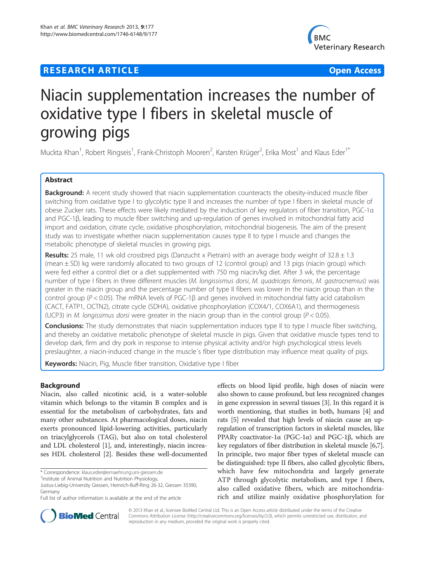# **RESEARCH ARTICLE Example 2014 12:30 The Contract of Contract Contract Contract Contract Contract Contract Contract Contract Contract Contract Contract Contract Contract Contract Contract Contract Contract Contract Contr**



# Niacin supplementation increases the number of oxidative type I fibers in skeletal muscle of growing pigs

Muckta Khan<sup>1</sup>, Robert Ringseis<sup>1</sup>, Frank-Christoph Mooren<sup>2</sup>, Karsten Krüger<sup>2</sup>, Erika Most<sup>1</sup> and Klaus Eder<sup>1\*</sup>

# Abstract

Background: A recent study showed that niacin supplementation counteracts the obesity-induced muscle fiber switching from oxidative type I to glycolytic type II and increases the number of type I fibers in skeletal muscle of obese Zucker rats. These effects were likely mediated by the induction of key regulators of fiber transition, PGC-1α and PGC-1β, leading to muscle fiber switching and up-regulation of genes involved in mitochondrial fatty acid import and oxidation, citrate cycle, oxidative phosphorylation, mitochondrial biogenesis. The aim of the present study was to investigate whether niacin supplementation causes type II to type I muscle and changes the metabolic phenotype of skeletal muscles in growing pigs.

**Results:** 25 male, 11 wk old crossbred pigs (Danzucht x Pietrain) with an average body weight of  $32.8 \pm 1.3$ (mean ± SD) kg were randomly allocated to two groups of 12 (control group) and 13 pigs (niacin group) which were fed either a control diet or a diet supplemented with 750 mg niacin/kg diet. After 3 wk, the percentage number of type I fibers in three different muscles (M. longissismus dorsi, M. quadriceps femoris, M. gastrocnemius) was greater in the niacin group and the percentage number of type II fibers was lower in the niacin group than in the control group ( $P < 0.05$ ). The mRNA levels of PGC-1 $\beta$  and genes involved in mitochondrial fatty acid catabolism (CACT, FATP1, OCTN2), citrate cycle (SDHA), oxidative phosphorylation (COX4/1, COX6A1), and thermogenesis (UCP3) in *M. longissimus dorsi* were greater in the niacin group than in the control group ( $P < 0.05$ ).

Conclusions: The study demonstrates that niacin supplementation induces type II to type I muscle fiber switching, and thereby an oxidative metabolic phenotype of skeletal muscle in pigs. Given that oxidative muscle types tend to develop dark, firm and dry pork in response to intense physical activity and/or high psychological stress levels preslaughter, a niacin-induced change in the muscle´s fiber type distribution may influence meat quality of pigs.

**Keywords:** Niacin, Pig, Muscle fiber transition, Oxidative type I fiber

# Background

Niacin, also called nicotinic acid, is a water-soluble vitamin which belongs to the vitamin B complex and is essential for the metabolism of carbohydrates, fats and many other substances. At pharmacological doses, niacin exerts pronounced lipid-lowering activities, particularly on triacylglycerols (TAG), but also on total cholesterol and LDL cholesterol [\[1](#page-6-0)], and, interestingly, niacin increases HDL cholesterol [\[2\]](#page-6-0). Besides these well-documented

\* Correspondence: [klaus.eder@ernaehrung.uni-giessen.de](mailto:klaus.eder@ernaehrung.uni-giessen.de) <sup>1</sup>

<sup>1</sup>Institute of Animal Nutrition and Nutrition Physiology,

effects on blood lipid profile, high doses of niacin were also shown to cause profound, but less recognized changes in gene expression in several tissues [\[3](#page-6-0)]. In this regard it is worth mentioning, that studies in both, humans [[4\]](#page-6-0) and rats [[5\]](#page-6-0) revealed that high levels of niacin cause an upregulation of transcription factors in skeletal muscles, like PPARγ coactivator-1α (PGC-1α) and PGC-1β, which are key regulators of fiber distribution in skeletal muscle [[6](#page-6-0),[7](#page-6-0)]. In principle, two major fiber types of skeletal muscle can be distinguished: type II fibers, also called glycolytic fibers, which have few mitochondria and largely generate ATP through glycolytic metabolism, and type I fibers, also called oxidative fibers, which are mitochondriarich and utilize mainly oxidative phosphorylation for



© 2013 Khan et al.; licensee BioMed Central Ltd. This is an Open Access article distributed under the terms of the Creative Commons Attribution License [\(http://creativecommons.org/licenses/by/2.0\)](http://creativecommons.org/licenses/by/2.0), which permits unrestricted use, distribution, and reproduction in any medium, provided the original work is properly cited.

Justus-Liebig-University Giessen, Heinrich-Buff-Ring 26-32, Giessen 35390, Germany

Full list of author information is available at the end of the article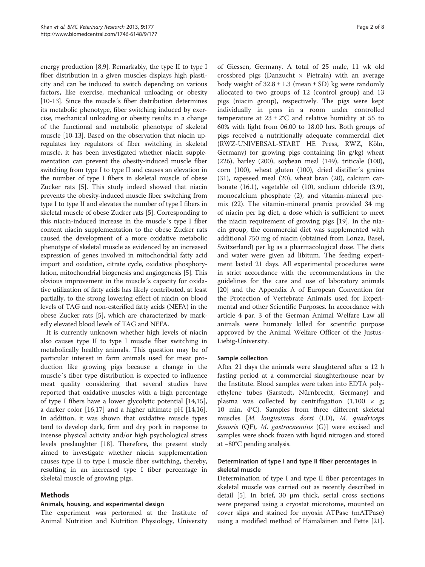energy production [\[8,9\]](#page-6-0). Remarkably, the type II to type I fiber distribution in a given muscles displays high plasticity and can be induced to switch depending on various factors, like exercise, mechanical unloading or obesity [[10](#page-6-0)-[13\]](#page-6-0). Since the muscle´s fiber distribution determines its metabolic phenotype, fiber switching induced by exercise, mechanical unloading or obesity results in a change of the functional and metabolic phenotype of skeletal muscle [\[10-13](#page-6-0)]. Based on the observation that niacin upregulates key regulators of fiber switching in skeletal muscle, it has been investigated whether niacin supplementation can prevent the obesity-induced muscle fiber switching from type I to type II and causes an elevation in the number of type I fibers in skeletal muscle of obese Zucker rats [\[5](#page-6-0)]. This study indeed showed that niacin prevents the obesity-induced muscle fiber switching from type I to type II and elevates the number of type I fibers in skeletal muscle of obese Zucker rats [\[5](#page-6-0)]. Corresponding to this niacin-induced increase in the muscle´s type I fiber content niacin supplementation to the obese Zucker rats caused the development of a more oxidative metabolic phenotype of skeletal muscle as evidenced by an increased expression of genes involved in mitochondrial fatty acid import and oxidation, citrate cycle, oxidative phosphorylation, mitochondrial biogenesis and angiogenesis [\[5](#page-6-0)]. This obvious improvement in the muscle´s capacity for oxidative utilization of fatty acids has likely contributed, at least partially, to the strong lowering effect of niacin on blood levels of TAG and non-esterified fatty acids (NEFA) in the obese Zucker rats [\[5](#page-6-0)], which are characterized by markedly elevated blood levels of TAG and NEFA.

It is currently unknown whether high levels of niacin also causes type II to type I muscle fiber switching in metabolically healthy animals. This question may be of particular interest in farm animals used for meat production like growing pigs because a change in the muscle´s fiber type distribution is expected to influence meat quality considering that several studies have reported that oxidative muscles with a high percentage of type I fibers have a lower glycolytic potential [\[14,15](#page-6-0)], a darker color [\[16,17\]](#page-6-0) and a higher ultimate pH [\[14,16](#page-6-0)]. In addition, it was shown that oxidative muscle types tend to develop dark, firm and dry pork in response to intense physical activity and/or high psychological stress levels preslaughter [[18](#page-6-0)]. Therefore, the present study aimed to investigate whether niacin supplementation causes type II to type I muscle fiber switching, thereby, resulting in an increased type I fiber percentage in skeletal muscle of growing pigs.

# Methods

# Animals, housing, and experimental design

The experiment was performed at the Institute of Animal Nutrition and Nutrition Physiology, University

of Giessen, Germany. A total of 25 male, 11 wk old crossbred pigs (Danzucht  $\times$  Pietrain) with an average body weight of  $32.8 \pm 1.3$  (mean  $\pm$  SD) kg were randomly allocated to two groups of 12 (control group) and 13 pigs (niacin group), respectively. The pigs were kept individually in pens in a room under controlled temperature at  $23 \pm 2^{\circ}$ C and relative humidity at 55 to 60% with light from 06.00 to 18.00 hrs. Both groups of pigs received a nutritionally adequate commercial diet (RWZ-UNIVERSAL-START HE Press, RWZ, Köln, Germany) for growing pigs containing (in g/kg) wheat (226), barley (200), soybean meal (149), triticale (100), corn (100), wheat gluten (100), dried distiller´s grains (31), rapeseed meal (20), wheat bran (20), calcium carbonate (16.1), vegetable oil (10), sodium chloride (3.9), monocalcium phosphate (2), and vitamin-mineral premix (22). The vitamin-mineral premix provided 34 mg of niacin per kg diet, a dose which is sufficient to meet the niacin requirement of growing pigs [\[19\]](#page-6-0). In the niacin group, the commercial diet was supplemented with additional 750 mg of niacin (obtained from Lonza, Basel, Switzerland) per kg as a pharmacological dose. The diets and water were given ad libitum. The feeding experiment lasted 21 days. All experimental procedures were in strict accordance with the recommendations in the guidelines for the care and use of laboratory animals [[20\]](#page-6-0) and the Appendix A of European Convention for the Protection of Vertebrate Animals used for Experimental and other Scientific Purposes. In accordance with article 4 par. 3 of the German Animal Welfare Law all animals were humanely killed for scientific purpose approved by the Animal Welfare Officer of the Justus-Liebig-University.

## Sample collection

After 21 days the animals were slaughtered after a 12 h fasting period at a commercial slaughterhouse near by the Institute. Blood samples were taken into EDTA polyethylene tubes (Sarstedt, Nürnbrecht, Germany) and plasma was collected by centrifugation  $(1,100 \times g;$ 10 min, 4°C). Samples from three different skeletal muscles [M. longissimus dorsi (LD), M. quadriceps femoris (QF), M. gastrocnemius (G)] were excised and samples were shock frozen with liquid nitrogen and stored at −80°C pending analysis.

# Determination of type I and type II fiber percentages in skeletal muscle

Determination of type I and type II fiber percentages in skeletal muscle was carried out as recently described in detail [[5](#page-6-0)]. In brief, 30 μm thick, serial cross sections were prepared using a cryostat microtome, mounted on cover slips and stained for myosin ATPase (mATPase) using a modified method of Hämäläinen and Pette [\[21](#page-6-0)].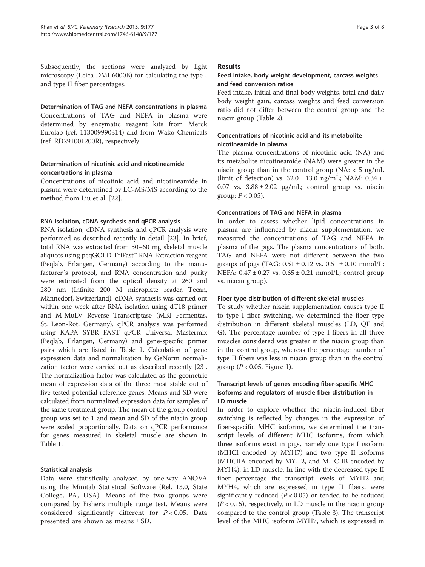Subsequently, the sections were analyzed by light microscopy (Leica DMI 6000B) for calculating the type I and type II fiber percentages.

Determination of TAG and NEFA concentrations in plasma Concentrations of TAG and NEFA in plasma were determined by enzymatic reagent kits from Merck Eurolab (ref. 113009990314) and from Wako Chemicals (ref. RD291001200R), respectively.

# Determination of nicotinic acid and nicotineamide concentrations in plasma

Concentrations of nicotinic acid and nicotineamide in plasma were determined by LC-MS/MS according to the method from Liu et al. [[22\]](#page-7-0).

## RNA isolation, cDNA synthesis and qPCR analysis

RNA isolation, cDNA synthesis and qPCR analysis were performed as described recently in detail [[23](#page-7-0)]. In brief, total RNA was extracted from 50–60 mg skeletal muscle aliquots using peqGOLD TriFast™ RNA Extraction reagent (Peqlab, Erlangen, Germany) according to the manufacturer´s protocol, and RNA concentration and purity were estimated from the optical density at 260 and 280 nm (Infinite 200 M microplate reader, Tecan, Männedorf, Switzerland). cDNA synthesis was carried out within one week after RNA isolation using dT18 primer and M-MuLV Reverse Transcriptase (MBI Fermentas, St. Leon-Rot, Germany). qPCR analysis was performed using KAPA SYBR FAST qPCR Universal Mastermix (Peqlab, Erlangen, Germany) and gene-specific primer pairs which are listed in Table [1](#page-3-0). Calculation of gene expression data and normalization by GeNorm normalization factor were carried out as described recently [[23](#page-7-0)]. The normalization factor was calculated as the geometric mean of expression data of the three most stable out of five tested potential reference genes. Means and SD were calculated from normalized expression data for samples of the same treatment group. The mean of the group control group was set to 1 and mean and SD of the niacin group were scaled proportionally. Data on qPCR performance for genes measured in skeletal muscle are shown in Table [1.](#page-3-0)

# Statistical analysis

Data were statistically analysed by one-way ANOVA using the Minitab Statistical Software (Rel. 13.0, State College, PA, USA). Means of the two groups were compared by Fisher's multiple range test. Means were considered significantly different for  $P < 0.05$ . Data presented are shown as means ± SD.

## Results

# Feed intake, body weight development, carcass weights and feed conversion ratios

Feed intake, initial and final body weights, total and daily body weight gain, carcass weights and feed conversion ratio did not differ between the control group and the niacin group (Table [2\)](#page-4-0).

# Concentrations of nicotinic acid and its metabolite nicotineamide in plasma

The plasma concentrations of nicotinic acid (NA) and its metabolite nicotineamide (NAM) were greater in the niacin group than in the control group (NA:  $<$  5 ng/mL (limit of detection) vs.  $32.0 \pm 13.0$  ng/mL; NAM:  $0.34 \pm 1.0$ 0.07 vs.  $3.88 \pm 2.02$   $\mu$ g/mL; control group vs. niacin group;  $P < 0.05$ ).

# Concentrations of TAG and NEFA in plasma

In order to assess whether lipid concentrations in plasma are influenced by niacin supplementation, we measured the concentrations of TAG and NEFA in plasma of the pigs. The plasma concentrations of both, TAG and NEFA were not different between the two groups of pigs (TAG:  $0.51 \pm 0.12$  vs.  $0.51 \pm 0.10$  mmol/L; NEFA:  $0.47 \pm 0.27$  vs.  $0.65 \pm 0.21$  mmol/L; control group vs. niacin group).

# Fiber type distribution of different skeletal muscles

To study whether niacin supplementation causes type II to type I fiber switching, we determined the fiber type distribution in different skeletal muscles (LD, QF and G). The percentage number of type I fibers in all three muscles considered was greater in the niacin group than in the control group, whereas the percentage number of type II fibers was less in niacin group than in the control group ( $P < 0.05$ , Figure [1](#page-4-0)).

# Transcript levels of genes encoding fiber-specific MHC isoforms and regulators of muscle fiber distribution in LD muscle

In order to explore whether the niacin-induced fiber switching is reflected by changes in the expression of fiber-specific MHC isoforms, we determined the transcript levels of different MHC isoforms, from which three isoforms exist in pigs, namely one type I isoform (MHCI encoded by MYH7) and two type II isoforms (MHCIIA encoded by MYH2, and MHCIIB encoded by MYH4), in LD muscle. In line with the decreased type II fiber percentage the transcript levels of MYH2 and MYH4, which are expressed in type II fibers, were significantly reduced ( $P < 0.05$ ) or tended to be reduced  $(P<0.15)$ , respectively, in LD muscle in the niacin group compared to the control group (Table [3\)](#page-5-0). The transcript level of the MHC isoform MYH7, which is expressed in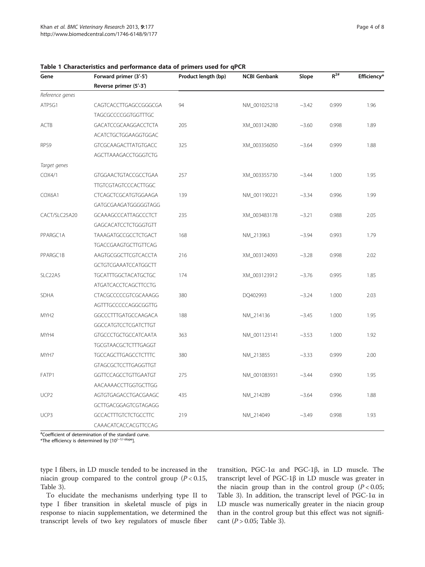| Gene             | Forward primer (3'-5')      | Product length (bp) | <b>NCBI Genbank</b> | Slope   | $R^{2#}$ | Efficiency* |
|------------------|-----------------------------|---------------------|---------------------|---------|----------|-------------|
|                  | Reverse primer (5'-3')      |                     |                     |         |          |             |
| Reference genes  |                             |                     |                     |         |          |             |
| ATP5G1           | CAGTCACCTTGAGCCGGGCGA       | 94                  | NM_001025218        | $-3.42$ | 0.999    | 1.96        |
|                  | TAGCGCCCCGGTGGTTTGC         |                     |                     |         |          |             |
| ACTB             | GACATCCGCAAGGACCTCTA        | 205                 | XM_003124280        | $-3.60$ | 0.998    | 1.89        |
|                  | ACATCTGCTGGAAGGTGGAC        |                     |                     |         |          |             |
| RPS9             | GTCGCAAGACTTATGTGACC        | 325                 | XM_003356050        | $-3.64$ | 0.999    | 1.88        |
|                  | AGCTTAAAGACCTGGGTCTG        |                     |                     |         |          |             |
| Target genes     |                             |                     |                     |         |          |             |
| COX4/1           | GTGGAACTGTACCGCCTGAA        | 257                 | XM_003355730        | $-3.44$ | 1.000    | 1.95        |
|                  | <b>TTGTCGTAGTCCCACTTGGC</b> |                     |                     |         |          |             |
| COX6A1           | CTCAGCTCGCATGTGGAAGA        | 139                 | NM_001190221        | $-3.34$ | 0.996    | 1.99        |
|                  | GATGCGAAGATGGGGGTAGG        |                     |                     |         |          |             |
| CACT/SLC25A20    | GCAAAGCCCATTAGCCCTCT        | 235                 | XM_003483178        | $-3.21$ | 0.988    | 2.05        |
|                  | GAGCACATCCTCTGGGTGTT        |                     |                     |         |          |             |
| PPARGC1A         | TAAAGATGCCGCCTCTGACT        | 168                 | NM_213963           | $-3.94$ | 0.993    | 1.79        |
|                  | TGACCGAAGTGCTTGTTCAG        |                     |                     |         |          |             |
| PPARGC1B         | AAGTGCGGCTTCGTCACCTA        | 216                 | XM_003124093        | $-3.28$ | 0.998    | 2.02        |
|                  | GCTGTCGAAATCCATGGCTT        |                     |                     |         |          |             |
| SLC22A5          | <b>TGCATTTGGCTACATGCTGC</b> | 174                 | XM_003123912        | $-3.76$ | 0.995    | 1.85        |
|                  | ATGATCACCTCAGCTTCCTG        |                     |                     |         |          |             |
| SDHA             | CTACGCCCCCGTCGCAAAGG        | 380                 | DQ402993            | $-3.24$ | 1.000    | 2.03        |
|                  | AGTTTGCCCCCAGGCGGTTG        |                     |                     |         |          |             |
| MYH <sub>2</sub> | GGCCCTTTGATGCCAAGACA        | 188                 | NM_214136           | $-3.45$ | 1.000    | 1.95        |
|                  | GGCCATGTCCTCGATCTTGT        |                     |                     |         |          |             |
| MYH4             | <b>GTGCCCTGCTGCCATCAATA</b> | 363                 | NM_001123141        | $-3.53$ | 1.000    | 1.92        |
|                  | TGCGTAACGCTCTTTGAGGT        |                     |                     |         |          |             |
| MYH7             | <b>TGCCAGCTTGAGCCTCTTTC</b> | 380                 | NM_213855           | $-3.33$ | 0.999    | 2.00        |
|                  | GTAGCGCTCCTTGAGGTTGT        |                     |                     |         |          |             |
| FATP1            | GGTTCCAGCCTGTTGAATGT        | 275                 | NM_001083931        | $-3.44$ | 0.990    | 1.95        |
|                  | AACAAAACCTTGGTGCTTGG        |                     |                     |         |          |             |
| UCP <sub>2</sub> | AGTGTGAGACCTGACGAAGC        | 435                 | NM_214289           | $-3.64$ | 0.996    | 1.88        |
|                  | GCTTGACGGAGTCGTAGAGG        |                     |                     |         |          |             |
| UCP3             | <b>GCCACTTTGTCTCTGCCTTC</b> | 219                 | NM_214049           | $-3.49$ | 0.998    | 1.93        |
|                  | CAAACATCACCACGTTCCAG        |                     |                     |         |          |             |

#### <span id="page-3-0"></span>Table 1 Characteristics and performance data of primers used for qPCR

# Coefficient of determination of the standard curve.

\*The efficiency is determined by [10(<sup>−</sup>1/-slope].

type I fibers, in LD muscle tended to be increased in the niacin group compared to the control group  $(P < 0.15,$ Table [3\)](#page-5-0).

To elucidate the mechanisms underlying type II to type I fiber transition in skeletal muscle of pigs in response to niacin supplementation, we determined the transcript levels of two key regulators of muscle fiber

transition, PGC-1α and PGC-1β, in LD muscle. The transcript level of PGC-1β in LD muscle was greater in the niacin group than in the control group  $(P < 0.05$ ; Table [3\)](#page-5-0). In addition, the transcript level of PGC-1α in LD muscle was numerically greater in the niacin group than in the control group but this effect was not significant ( $P > 0.05$ ; Table [3\)](#page-5-0).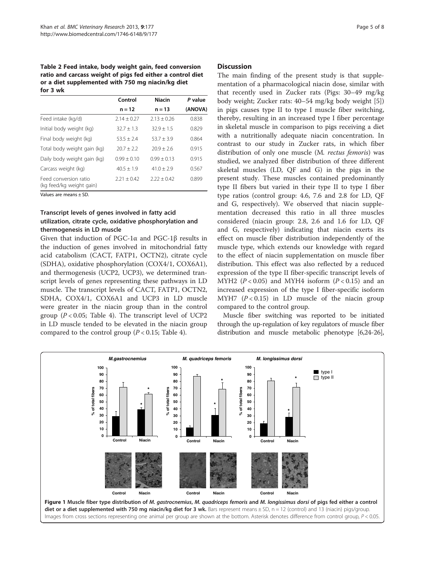<span id="page-4-0"></span>Table 2 Feed intake, body weight gain, feed conversion ratio and carcass weight of pigs fed either a control diet or a diet supplemented with 750 mg niacin/kg diet for 3 wk

|                                                   | Control       | <b>Niacin</b> | P value |
|---------------------------------------------------|---------------|---------------|---------|
|                                                   | $n = 12$      | $n = 13$      | (ANOVA) |
| Feed intake (kg/d)                                | $2.14 + 0.27$ | $2.13 + 0.26$ | 0.838   |
| Initial body weight (kg)                          | $32.7 + 1.3$  | $329 + 15$    | 0.829   |
| Final body weight (kg)                            | $53.5 + 2.4$  | $53.7 + 3.9$  | 0.864   |
| Total body weight gain (kg)                       | $207 + 22$    | $209 + 26$    | 0.915   |
| Daily body weight gain (kg)                       | $0.99 + 0.10$ | $0.99 + 0.13$ | 0.915   |
| Carcass weight (kg)                               | $40.5 + 1.9$  | $41.0 + 2.9$  | 0.567   |
| Feed conversion ratio<br>(kg feed/kg weight gain) | $2.21 + 0.42$ | $2.22 + 0.42$ | 0.899   |

Values are means ± SD.

# Transcript levels of genes involved in fatty acid utilization, citrate cycle, oxidative phosphorylation and thermogenesis in LD muscle

Given that induction of PGC-1α and PGC-1β results in the induction of genes involved in mitochondrial fatty acid catabolism (CACT, FATP1, OCTN2), citrate cycle (SDHA), oxidative phosphorylation (COX4/1, COX6A1), and thermogenesis (UCP2, UCP3), we determined transcript levels of genes representing these pathways in LD muscle. The transcript levels of CACT, FATP1, OCTN2, SDHA, COX4/1, COX6A1 and UCP3 in LD muscle were greater in the niacin group than in the control group  $(P < 0.05$ ; Table [4](#page-5-0)). The transcript level of UCP2 in LD muscle tended to be elevated in the niacin group compared to the control group ( $P < 0.15$ ; Table [4\)](#page-5-0).

## **Discussion**

The main finding of the present study is that supplementation of a pharmacological niacin dose, similar with that recently used in Zucker rats (Pigs: 30–49 mg/kg body weight; Zucker rats: 40–54 mg/kg body weight [\[5](#page-6-0)]) in pigs causes type II to type I muscle fiber switching, thereby, resulting in an increased type I fiber percentage in skeletal muscle in comparison to pigs receiving a diet with a nutritionally adequate niacin concentration. In contrast to our study in Zucker rats, in which fiber distribution of only one muscle (M. rectus femoris) was studied, we analyzed fiber distribution of three different skeletal muscles (LD, QF and G) in the pigs in the present study. These muscles contained predominantly type II fibers but varied in their type II to type I fiber type ratios (control group: 4.6, 7.6 and 2.8 for LD, QF and G, respectively). We observed that niacin supplementation decreased this ratio in all three muscles considered (niacin group: 2.8, 2.6 and 1.6 for LD, QF and G, respectively) indicating that niacin exerts its effect on muscle fiber distribution independently of the muscle type, which extends our knowledge with regard to the effect of niacin supplementation on muscle fiber distribution. This effect was also reflected by a reduced expression of the type II fiber-specific transcript levels of MYH2 ( $P < 0.05$ ) and MYH4 isoform ( $P < 0.15$ ) and an increased expression of the type I fiber-specific isoform MYH7  $(P < 0.15)$  in LD muscle of the niacin group compared to the control group.

Muscle fiber switching was reported to be initiated through the up-regulation of key regulators of muscle fiber distribution and muscle metabolic phenotype [\[6,](#page-6-0)[24-26](#page-7-0)],

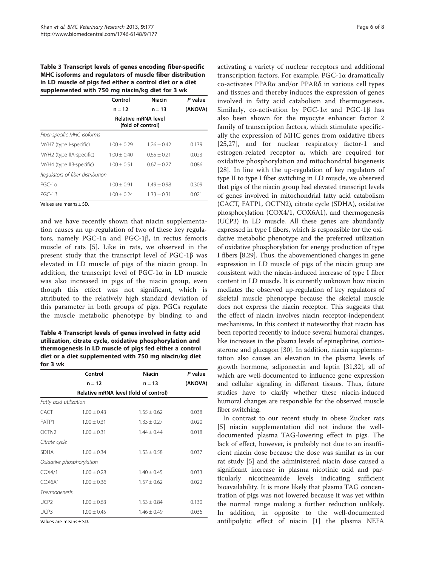<span id="page-5-0"></span>Table 3 Transcript levels of genes encoding fiber-specific MHC isoforms and regulators of muscle fiber distribution in LD muscle of pigs fed either a control diet or a diet supplemented with 750 mg niacin/kg diet for 3 wk

|                                  | Control                                  | <b>Niacin</b>   | P value |  |
|----------------------------------|------------------------------------------|-----------------|---------|--|
|                                  | $n = 12$                                 | $n = 13$        | (ANOVA) |  |
|                                  | Relative mRNA level<br>(fold of control) |                 |         |  |
| Fiber-specific MHC isoforms      |                                          |                 |         |  |
| MYH7 (type I-specific)           | $1.00 \pm 0.29$                          | $1.26 + 0.42$   | 0.139   |  |
| MYH2 (type IIA-specific)         | $1.00 \pm 0.40$                          | $0.65 + 0.21$   | 0.023   |  |
| MYH4 (type IIB-specific)         | $1.00 + 0.51$                            | $0.67 + 0.27$   | 0.086   |  |
| Regulators of fiber distribution |                                          |                 |         |  |
| $PGC-10$                         | $1.00 + 0.91$                            | $1.49 + 0.98$   | 0.309   |  |
| $PGC-1\beta$                     | $1.00 \pm 0.24$                          | $1.33 \pm 0.31$ | 0.021   |  |

Values are means ± SD.

and we have recently shown that niacin supplementation causes an up-regulation of two of these key regulators, namely PGC-1α and PGC-1β, in rectus femoris muscle of rats [[5\]](#page-6-0). Like in rats, we observed in the present study that the transcript level of PGC-1β was elevated in LD muscle of pigs of the niacin group. In addition, the transcript level of PGC-1α in LD muscle was also increased in pigs of the niacin group, even though this effect was not significant, which is attributed to the relatively high standard deviation of this parameter in both groups of pigs. PGCs regulate the muscle metabolic phenotype by binding to and

Table 4 Transcript levels of genes involved in fatty acid utilization, citrate cycle, oxidative phosphorylation and thermogenesis in LD muscle of pigs fed either a control diet or a diet supplemented with 750 mg niacin/kg diet for 3 wk

|                        | Control                   | <b>Niacin</b>   | P value |
|------------------------|---------------------------|-----------------|---------|
|                        | $n = 12$                  | $n = 13$        | (ANOVA) |
|                        |                           |                 |         |
| Fatty acid utilization |                           |                 |         |
| <b>CACT</b>            | $1.00 \pm 0.43$           | $1.55 \pm 0.62$ | 0.038   |
| FATP1                  | $1.00 \pm 0.31$           | $1.33 \pm 0.27$ | 0.020   |
| OCTN <sub>2</sub>      | $1.00 \pm 0.31$           | $1.44 \pm 0.44$ | 0.018   |
| Citrate cycle          |                           |                 |         |
| <b>SDHA</b>            | $1.00 \pm 0.34$           | $1.53 \pm 0.58$ | 0.037   |
|                        | Oxidative phosphorylation |                 |         |
| COX4/1                 | $1.00 \pm 0.28$           | $1.40 \pm 0.45$ | 0.033   |
| COX6A1                 | $1.00 \pm 0.36$           | $1.57 \pm 0.62$ | 0.022   |
| <b>Thermogenesis</b>   |                           |                 |         |
| UCP <sub>2</sub>       | $1.00 \pm 0.63$           | $1.53 \pm 0.84$ | 0.130   |
| UCP3                   | $1.00 \pm 0.45$           | $1.46 \pm 0.49$ | 0.036   |

Values are means ± SD.

activating a variety of nuclear receptors and additional transcription factors. For example, PGC-1α dramatically co-activates PPARα and/or PPARδ in various cell types and tissues and thereby induces the expression of genes involved in fatty acid catabolism and thermogenesis. Similarly, co-activation by PGC-1α and PGC-1β has also been shown for the myocyte enhancer factor 2 family of transcription factors, which stimulate specifically the expression of MHC genes from oxidative fibers [[25,27](#page-7-0)], and for nuclear respiratory factor-1 and estrogen-related receptor α, which are required for oxidative phosphorylation and mitochondrial biogenesis [[28\]](#page-7-0). In line with the up-regulation of key regulators of type II to type I fiber switching in LD muscle, we observed that pigs of the niacin group had elevated transcript levels of genes involved in mitochondrial fatty acid catabolism (CACT, FATP1, OCTN2), citrate cycle (SDHA), oxidative phosphorylation (COX4/1, COX6A1), and thermogenesis (UCP3) in LD muscle. All these genes are abundantly expressed in type I fibers, which is responsible for the oxidative metabolic phenotype and the preferred utilization of oxidative phosphorylation for energy production of type I fibers [\[8,](#page-6-0)[29](#page-7-0)]. Thus, the abovementioned changes in gene expression in LD muscle of pigs of the niacin group are consistent with the niacin-induced increase of type I fiber content in LD muscle. It is currently unknown how niacin mediates the observed up-regulation of key regulators of skeletal muscle phenotype because the skeletal muscle does not express the niacin receptor. This suggests that the effect of niacin involves niacin receptor-independent mechanisms. In this context it noteworthy that niacin has been reported recently to induce several humoral changes, like increases in the plasma levels of epinephrine, corticosterone and glucagon [[30](#page-7-0)]. In addition, niacin supplementation also causes an elevation in the plasma levels of growth hormone, adiponectin and leptin [[31,32](#page-7-0)], all of which are well-documented to influence gene expression and cellular signaling in different tissues. Thus, future studies have to clarify whether these niacin-induced humoral changes are responsible for the observed muscle fiber switching.

In contrast to our recent study in obese Zucker rats [[5\]](#page-6-0) niacin supplementation did not induce the welldocumented plasma TAG-lowering effect in pigs. The lack of effect, however, is probably not due to an insufficient niacin dose because the dose was similar as in our rat study [\[5](#page-6-0)] and the administered niacin dose caused a significant increase in plasma nicotinic acid and particularly nicotineamide levels indicating sufficient bioavailability. It is more likely that plasma TAG concentration of pigs was not lowered because it was yet within the normal range making a further reduction unlikely. In addition, in opposite to the well-documented antilipolytic effect of niacin [\[1](#page-6-0)] the plasma NEFA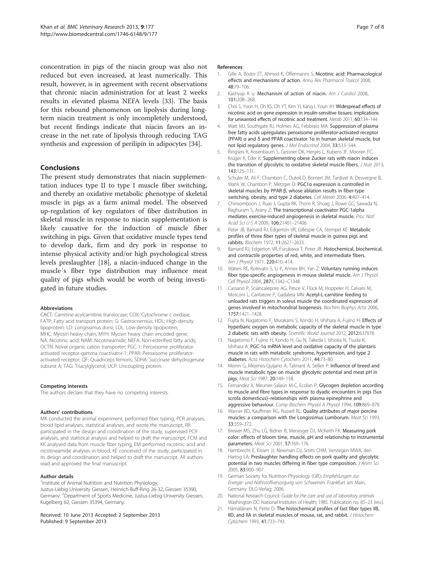<span id="page-6-0"></span>concentration in pigs of the niacin group was also not reduced but even increased, at least numerically. This result, however, is in agreement with recent observations that chronic niacin administration for at least 2 weeks results in elevated plasma NEFA levels [\[33](#page-7-0)]. The basis for this rebound phenomenon on lipolysis during longterm niacin treatment is only incompletely understood, but recent findings indicate that niacin favors an increase in the net rate of lipolysis through reducing TAG synthesis and expression of perilipin in adipocytes [[34\]](#page-7-0).

## Conclusions

The present study demonstrates that niacin supplementation induces type II to type I muscle fiber switching, and thereby an oxidative metabolic phenotype of skeletal muscle in pigs as a farm animal model. The observed up-regulation of key regulators of fiber distribution in skeletal muscle in response to niacin supplementation is likely causative for the induction of muscle fiber switching in pigs. Given that oxidative muscle types tend to develop dark, firm and dry pork in response to intense physical activity and/or high psychological stress levels preslaughter [18], a niacin-induced change in the muscle´s fiber type distribution may influence meat quality of pigs which would be worth of being investigated in future studies.

#### Abbreviations

CACT: Carnitine-acylcarnitine translocase; COX: Cytochrome c oxidase; FATP: Fatty acid transport protein; G: Gastrocnemius; HDL: High-density lipoprotein; LD: Longissimus dorsi; LDL: Low-density lipoprotein; MHC: Myosin heavy chain; MYH: Myosin heavy chain encoded gene; NA: Nicotinic acid; NAM: Nicotineamide; NEFA: Non-esterified fatty acids; OCTN: Novel organic cation transporter; PGC-1: Peroxisome proliferatoractivated receptor-gamma coactivator-1; PPAR: Peroxisome proliferatoractivated receptor; QF: Quadriceps femoris; SDHA: Succinate dehydrogenase subunit A; TAG: Triacylglycerol; UCP: Uncoupling protein.

#### Competing interests

The authors declare that they have no competing interests.

#### Authors' contributions

MK conducted the animal experiment, performed fiber typing, PCR analyses, blood lipid analyses, statistical analyses, and wrote the manuscript, RR participated in the design and coordination of the study, supervised PCR analyses, and statistical analysis and helped to draft the manuscript, FCM and KK analysed data from muscle fiber typing, EM performed nicotinic acid and nicotineamide analyses in blood, KE conceived of the study, participated in its design and coordination and helped to draft the manuscript. All authors read and approved the final manuscript.

#### Author details

<sup>1</sup>Institute of Animal Nutrition and Nutrition Physiology, Justus-Liebig-University Giessen, Heinrich-Buff-Ring 26-32, Giessen 35390, Germany. <sup>2</sup>Department of Sports Medicine, Justus-Liebig-University Giessen, Kugelberg 62, Giessen 35394, Germany.

Received: 10 June 2013 Accepted: 2 September 2013 Published: 9 September 2013

#### References

- 1. Gille A, Bodor ET, Ahmed K, Offermanns S: Nicotinic acid: Pharmacological effects and mechanisms of action. Annu Rev Pharmacol Toxicol 2008, 48:79–106.
- 2. Kashyap K u: Mechanism of action of niacin. Am J Cardiol 2008. 101:20B–26B.
- 3. Choi S, Yoon H, Oh KS, Oh YT, Kim YI, Kang I, Youn JH: Widespread effects of nicotinic acid on gene expression in insulin-sensitive tissues: implications for unwanted effects of nicotinic acid treatment. Metab 2011, 60:134–144.
- 4. Watt MJ, Southgate RJ, Holmes AG, Febbraio MA: Suppression of plasma free fatty acids upregulates peroxisome proliferator-activated receptor (PPAR) α and δ and PPAR coactivator 1α in human skeletal muscle, but not lipid regulatory genes. J Mol Endocrinol 2004, 33:533–544.
- 5. Ringseis R, Rosenbaum S, Gessner DK, Herges L, Kubens JF, Mooren FC, Krüger K, Eder K: Supplementing obese Zucker rats with niacin induces the transition of glycolytic to oxidative skeletal muscle fibers. J Nutr 2013, 143:125–131.
- 6. Schuler M, Ali F, Chambon C, Duteil D, Bornert JM, Tardivel A, Desvergne B, Wahli W, Chambon P, Metzger D: PGC1α expression is controlled in skeletal muscles by PPAR β, whose ablation results in fiber-type switching, obesity, and type 2 diabetes. Cell Metab 2006, 4:407–414.
- 7. Chinsomboon J, Ruas J, Gupta RK, Thom R, Shoag J, Rowe GC, Sawada N, Raghuram S, Arany Z: The transcriptional coactivator PGC-1alpha mediates exercise-induced angiogenesis in skeletal muscle. Proc Natl Acad Sci U S A 2009, 106:21401–21406.
- 8. Peter JB, Barnard RJ, Edgerton VR, Gillespie CA, Stempel KE: Metabolic profiles of three fiber types of skeletal muscle in guinea pigs and rabbits. Biochem 1972, 11:2627–2633.
- 9. Barnard RJ, Edgerton VR, Furukawa T, Peter JB: Histochemical, biochemical, and contractile properties of red, white, and intermediate fibers. Am J Physiol 1971, 220:410–414.
- 10. Waters RE, Rotevatn S, Li P, Annex BH, Yan Z: Voluntary running induces fiber type-specific angiogenesis in mouse skeletal muscle. Am J Physiol Cell Physiol 2004, 287:C1342–C1348.
- 11. Cassano P, Sciancalepore AG, Pesce V, Flück M, Hoppeler H, Calvani M, Mosconi L, Cantatore P, Gadaleta MN: Acetyl-L-carnitine feeding to unloaded rats triggers in soleus muscle the coordinated expression of genes involved in mitochondrial biogenesis. Biochim Biophys Acta 2006, 1757:1421–1428.
- 12. Fujita N, Nagatomo F, Murakami S, Kondo H, Ishihara A, Fujino H: Effects of hyperbaric oxygen on metabolic capacity of the skeletal muscle in type 2 diabetic rats with obesity. Scientific World Journal 2012, 2012:637978.
- 13. Nagatomo F, Fujino H, Kondo H, Gu N, Takeda I, Ishioka N, Tsuda K, Ishihara A: PGC-1α mRNA level and oxidative capacity of the plantaris muscle in rats with metabolic syndrome, hypertension, and type 2 diabetes. Acta Histochem Cytochem 2011, 44:73–80.
- 14. Monin G, Mejenes-Quijano A, Talmant A, Sellier P: Influence of breed and muscle metabolic type on muscle glycolytic potential and meat pH in pigs. Meat Sci 1987, 20:149–158.
- 15. Fernandez X, Meunier-Salaün M-C, Ecolan P: Glycogen depletion according to muscle and fibre types in response to dyadic encounters in pigs (Sus scrofa domesticus)–relationships with plasma epinephrine and aggressive behaviour. Comp Biochem Physiol A Physiol 1994, 109:869–879.
- 16. Warner RD, Kauffman RG, Russell RL: Quality attributes of major porcine muscles: a comparison with the Longissimus Lumborum. Meat Sci 1993, 33:359–372.
- 17. Brewer MS, Zhu LG, Bidner B, Meisinger DJ, McKeith FK: Measuring pork color: effects of bloom time, muscle, pH and relationship to instrumental parameters. Meat Sci 2001, 57:169–176.
- 18. Hambrecht E, Eissen JJ, Newman DJ, Smits CHM, Verstegen MWA, den Hartog LA: Preslaughter handling effects on pork quality and glycolytic potential in two muscles differing in fiber type composition. J Anim Sci 2005, 83:900–907.
- 19. German Society for Nutrition Physiology (GfE): Empfehlungen zur Energie- und Nährstoffversorgung von Schweinen. Frankfurt am Main, Germany: DLG-Verlag; 2006.
- 20. National Research Council: Guide for the care and use of laboratory animals. Washington DC: National Institutes of Health; 1985. Publication no. 85–23 (rev.).
- 21. Hämäläinen N, Pette D: The histochemical profiles of fast fiber types IIB, IID, and IIA in skeletal muscles of mouse, rat, and rabbit. J Histochem Cytochem 1993, 41:733–743.